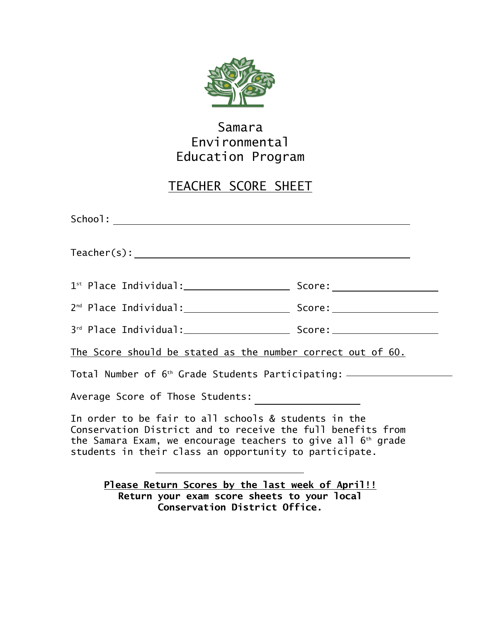

## Samara Environmental Education Program

## TEACHER SCORE SHEET

| Teacher(s):                                                                                                                                                                                                                                     |  |
|-------------------------------------------------------------------------------------------------------------------------------------------------------------------------------------------------------------------------------------------------|--|
|                                                                                                                                                                                                                                                 |  |
|                                                                                                                                                                                                                                                 |  |
|                                                                                                                                                                                                                                                 |  |
| The Score should be stated as the number correct out of 60.                                                                                                                                                                                     |  |
| Total Number of 6 <sup>th</sup> Grade Students Participating: _________________                                                                                                                                                                 |  |
| Average Score of Those Students:                                                                                                                                                                                                                |  |
| In order to be fair to all schools & students in the<br>Conservation District and to receive the full benefits from<br>the Samara Exam, we encourage teachers to give all $6th$ grade<br>students in their class an opportunity to participate. |  |
| Please Return Scores by the last week of April!!<br>Batuma yawa ayam agama shaata ta yawa Jago                                                                                                                                                  |  |

**Return your exam score sheets to your local Conservation District Office.**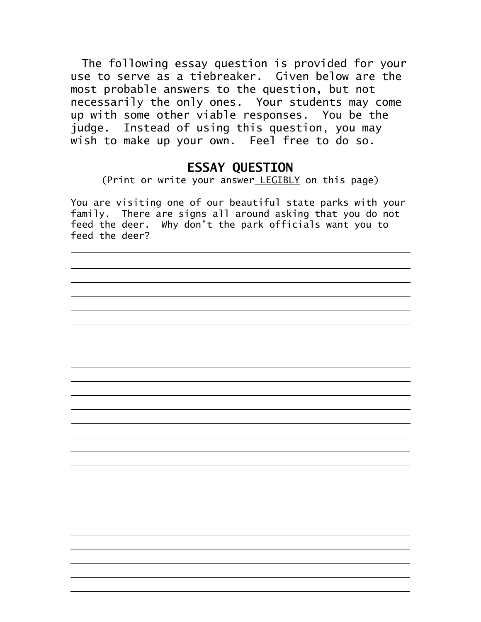The following essay question is provided for your use to serve as a tiebreaker. Given below are the most probable answers to the question, but not necessarily the only ones. Your students may come up with some other viable responses. You be the judge. Instead of using this question, you may wish to make up your own. Feel free to do so.

## **ESSAY QUESTION**

(Print or write your answer LEGIBLY on this page)

You are visiting one of our beautiful state parks with your family. There are signs all around asking that you do not feed the deer. Why don't the park officials want you to feed the deer?